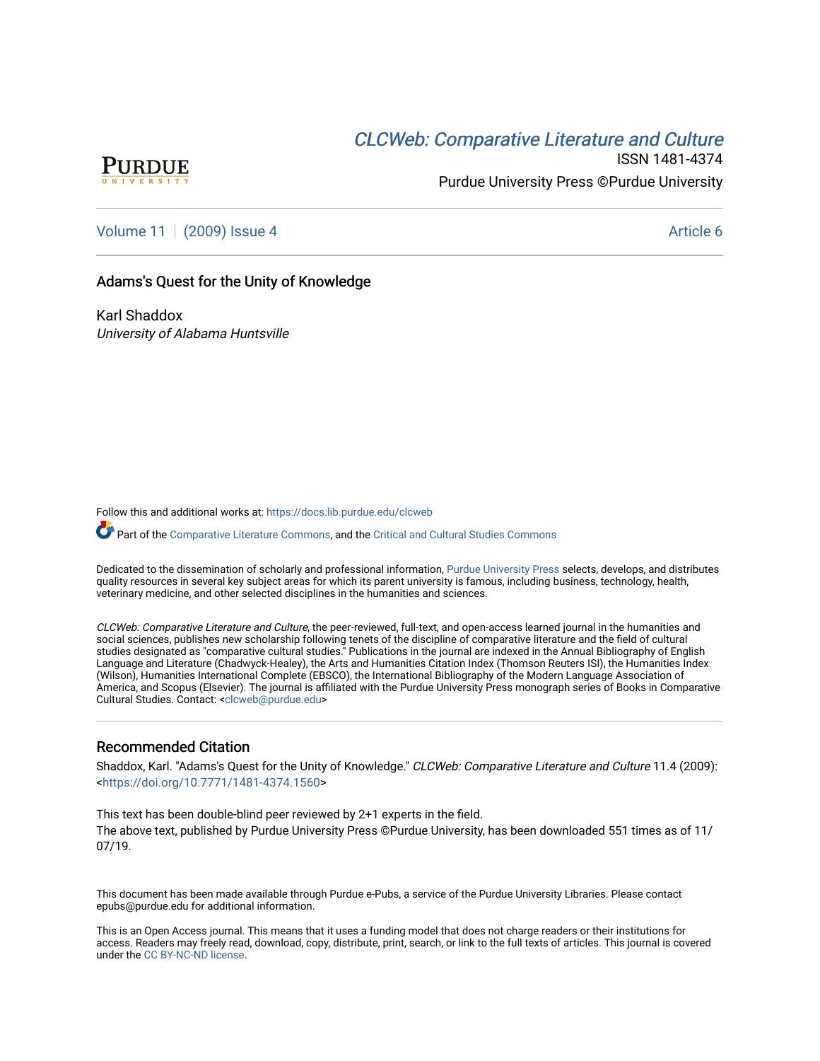# CLCW[eb: Comparative Liter](https://docs.lib.purdue.edu/clcweb)ature and Culture



ISSN 1481-4374 Purdue University Press ©Purdue University

[Volume 11](https://docs.lib.purdue.edu/clcweb/vol11) | [\(2009\) Issue 4](https://docs.lib.purdue.edu/clcweb/vol11/iss4) Article 6

# Adams's Quest for the Unity of Knowledge

Karl Shaddox University of Alabama Huntsville

Follow this and additional works at: [https://docs.lib.purdue.edu/clcweb](https://docs.lib.purdue.edu/clcweb?utm_source=docs.lib.purdue.edu%2Fclcweb%2Fvol11%2Fiss4%2F6&utm_medium=PDF&utm_campaign=PDFCoverPages)

Part of the [Comparative Literature Commons,](http://network.bepress.com/hgg/discipline/454?utm_source=docs.lib.purdue.edu%2Fclcweb%2Fvol11%2Fiss4%2F6&utm_medium=PDF&utm_campaign=PDFCoverPages) and the Critical and Cultural Studies Commons

Dedicated to the dissemination of scholarly and professional information, [Purdue University Press](http://www.thepress.purdue.edu/) selects, develops, and distributes quality resources in several key subject areas for which its parent university is famous, including business, technology, health, veterinary medicine, and other selected disciplines in the humanities and sciences.

CLCWeb: Comparative Literature and Culture, the peer-reviewed, full-text, and open-access learned journal in the humanities and social sciences, publishes new scholarship following tenets of the discipline of comparative literature and the field of cultural studies designated as "comparative cultural studies." Publications in the journal are indexed in the Annual Bibliography of English Language and Literature (Chadwyck-Healey), the Arts and Humanities Citation Index (Thomson Reuters ISI), the Humanities Index (Wilson), Humanities International Complete (EBSCO), the International Bibliography of the Modern Language Association of America, and Scopus (Elsevier). The journal is affiliated with the Purdue University Press monograph series of Books in Comparative Cultural Studies. Contact: [<clcweb@purdue.edu](mailto:clcweb@purdue.edu)>

## Recommended Citation

Shaddox, Karl. "Adams's Quest for the Unity of Knowledge." CLCWeb: Comparative Literature and Culture 11.4 (2009): <<https://doi.org/10.7771/1481-4374.1560>>

This text has been double-blind peer reviewed by 2+1 experts in the field. The above text, published by Purdue University Press ©Purdue University, has been downloaded 551 times as of 11/ 07/19.

This document has been made available through Purdue e-Pubs, a service of the Purdue University Libraries. Please contact epubs@purdue.edu for additional information.

This is an Open Access journal. This means that it uses a funding model that does not charge readers or their institutions for access. Readers may freely read, download, copy, distribute, print, search, or link to the full texts of articles. This journal is covered under the [CC BY-NC-ND license.](https://creativecommons.org/licenses/by-nc-nd/4.0/)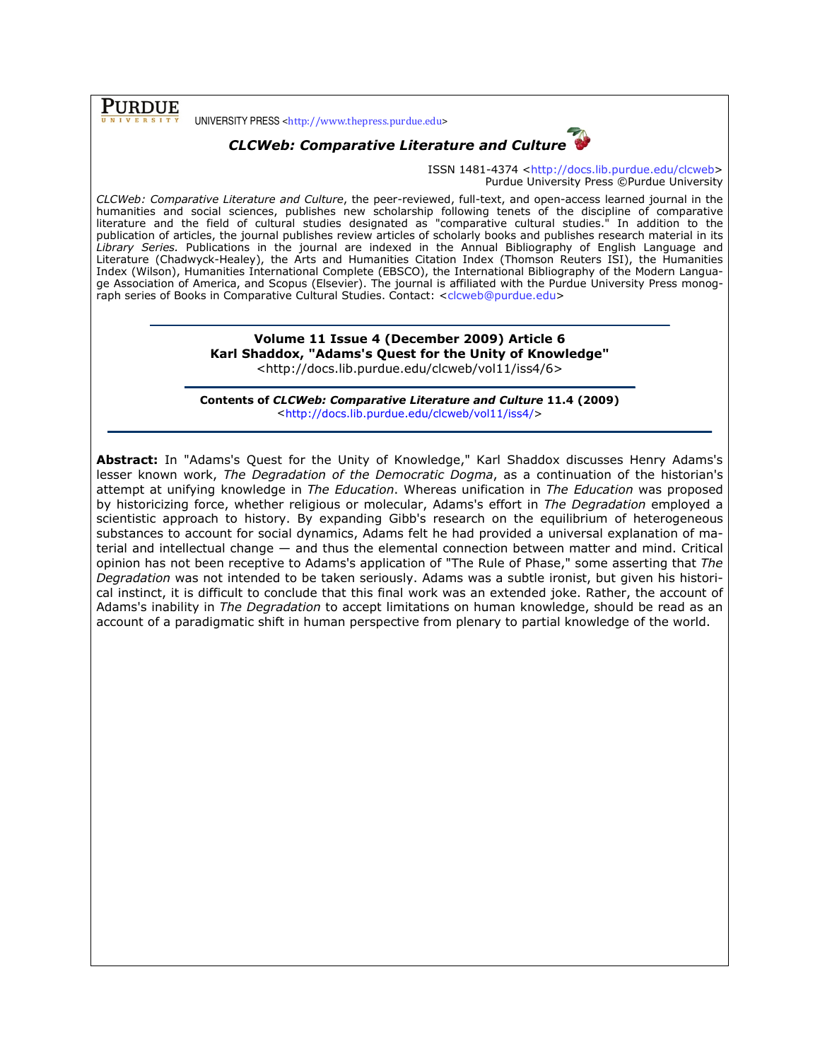**PURDUE** 

UNIVERSITY PRESS <http://www.thepress.purdue.edu>



ISSN 1481-4374 <http://docs.lib.purdue.edu/clcweb> Purdue University Press ©Purdue University

CLCWeb: Comparative Literature and Culture, the peer-reviewed, full-text, and open-access learned journal in the humanities and social sciences, publishes new scholarship following tenets of the discipline of comparative literature and the field of cultural studies designated as "comparative cultural studies." In addition to the publication of articles, the journal publishes review articles of scholarly books and publishes research material in its Library Series. Publications in the journal are indexed in the Annual Bibliography of English Language and Literature (Chadwyck-Healey), the Arts and Humanities Citation Index (Thomson Reuters ISI), the Humanities Index (Wilson), Humanities International Complete (EBSCO), the International Bibliography of the Modern Language Association of America, and Scopus (Elsevier). The journal is affiliated with the Purdue University Press monograph series of Books in Comparative Cultural Studies. Contact: <clcweb@purdue.edu>

> Volume 11 Issue 4 (December 2009) Article 6 Karl Shaddox, "Adams's Quest for the Unity of Knowledge" <http://docs.lib.purdue.edu/clcweb/vol11/iss4/6>

Contents of CLCWeb: Comparative Literature and Culture 11.4 (2009) <http://docs.lib.purdue.edu/clcweb/vol11/iss4/>

Abstract: In "Adams's Quest for the Unity of Knowledge," Karl Shaddox discusses Henry Adams's lesser known work, The Degradation of the Democratic Dogma, as a continuation of the historian's attempt at unifying knowledge in The Education. Whereas unification in The Education was proposed by historicizing force, whether religious or molecular, Adams's effort in The Degradation employed a scientistic approach to history. By expanding Gibb's research on the equilibrium of heterogeneous substances to account for social dynamics, Adams felt he had provided a universal explanation of material and intellectual change — and thus the elemental connection between matter and mind. Critical opinion has not been receptive to Adams's application of "The Rule of Phase," some asserting that The Degradation was not intended to be taken seriously. Adams was a subtle ironist, but given his historical instinct, it is difficult to conclude that this final work was an extended joke. Rather, the account of Adams's inability in The Degradation to accept limitations on human knowledge, should be read as an account of a paradigmatic shift in human perspective from plenary to partial knowledge of the world.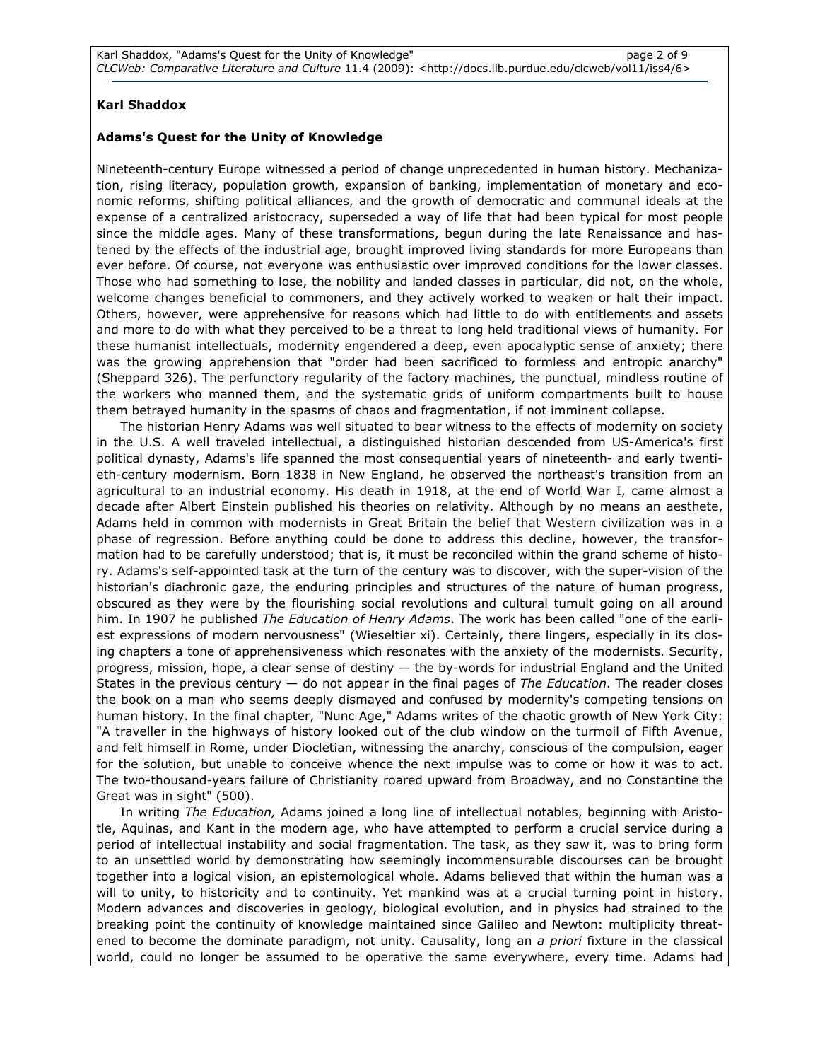## Karl Shaddox

## Adams's Quest for the Unity of Knowledge

Nineteenth-century Europe witnessed a period of change unprecedented in human history. Mechanization, rising literacy, population growth, expansion of banking, implementation of monetary and economic reforms, shifting political alliances, and the growth of democratic and communal ideals at the expense of a centralized aristocracy, superseded a way of life that had been typical for most people since the middle ages. Many of these transformations, begun during the late Renaissance and hastened by the effects of the industrial age, brought improved living standards for more Europeans than ever before. Of course, not everyone was enthusiastic over improved conditions for the lower classes. Those who had something to lose, the nobility and landed classes in particular, did not, on the whole, welcome changes beneficial to commoners, and they actively worked to weaken or halt their impact. Others, however, were apprehensive for reasons which had little to do with entitlements and assets and more to do with what they perceived to be a threat to long held traditional views of humanity. For these humanist intellectuals, modernity engendered a deep, even apocalyptic sense of anxiety; there was the growing apprehension that "order had been sacrificed to formless and entropic anarchy" (Sheppard 326). The perfunctory regularity of the factory machines, the punctual, mindless routine of the workers who manned them, and the systematic grids of uniform compartments built to house them betrayed humanity in the spasms of chaos and fragmentation, if not imminent collapse.

The historian Henry Adams was well situated to bear witness to the effects of modernity on society in the U.S. A well traveled intellectual, a distinguished historian descended from US-America's first political dynasty, Adams's life spanned the most consequential years of nineteenth- and early twentieth-century modernism. Born 1838 in New England, he observed the northeast's transition from an agricultural to an industrial economy. His death in 1918, at the end of World War I, came almost a decade after Albert Einstein published his theories on relativity. Although by no means an aesthete, Adams held in common with modernists in Great Britain the belief that Western civilization was in a phase of regression. Before anything could be done to address this decline, however, the transformation had to be carefully understood; that is, it must be reconciled within the grand scheme of history. Adams's self-appointed task at the turn of the century was to discover, with the super-vision of the historian's diachronic gaze, the enduring principles and structures of the nature of human progress, obscured as they were by the flourishing social revolutions and cultural tumult going on all around him. In 1907 he published The Education of Henry Adams. The work has been called "one of the earliest expressions of modern nervousness" (Wieseltier xi). Certainly, there lingers, especially in its closing chapters a tone of apprehensiveness which resonates with the anxiety of the modernists. Security, progress, mission, hope, a clear sense of destiny — the by-words for industrial England and the United States in the previous century  $-$  do not appear in the final pages of The Education. The reader closes the book on a man who seems deeply dismayed and confused by modernity's competing tensions on human history. In the final chapter, "Nunc Age," Adams writes of the chaotic growth of New York City: "A traveller in the highways of history looked out of the club window on the turmoil of Fifth Avenue, and felt himself in Rome, under Diocletian, witnessing the anarchy, conscious of the compulsion, eager for the solution, but unable to conceive whence the next impulse was to come or how it was to act. The two-thousand-years failure of Christianity roared upward from Broadway, and no Constantine the Great was in sight" (500).

In writing The Education, Adams joined a long line of intellectual notables, beginning with Aristotle, Aquinas, and Kant in the modern age, who have attempted to perform a crucial service during a period of intellectual instability and social fragmentation. The task, as they saw it, was to bring form to an unsettled world by demonstrating how seemingly incommensurable discourses can be brought together into a logical vision, an epistemological whole. Adams believed that within the human was a will to unity, to historicity and to continuity. Yet mankind was at a crucial turning point in history. Modern advances and discoveries in geology, biological evolution, and in physics had strained to the breaking point the continuity of knowledge maintained since Galileo and Newton: multiplicity threatened to become the dominate paradigm, not unity. Causality, long an a priori fixture in the classical world, could no longer be assumed to be operative the same everywhere, every time. Adams had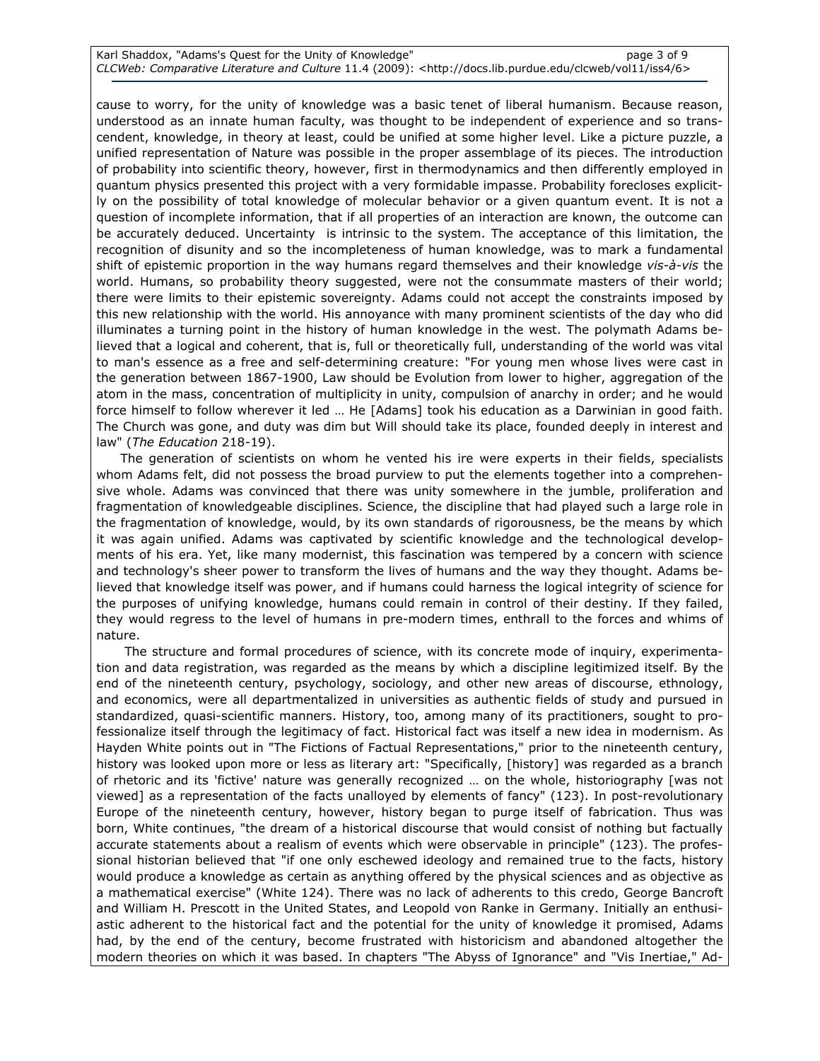cause to worry, for the unity of knowledge was a basic tenet of liberal humanism. Because reason, understood as an innate human faculty, was thought to be independent of experience and so transcendent, knowledge, in theory at least, could be unified at some higher level. Like a picture puzzle, a unified representation of Nature was possible in the proper assemblage of its pieces. The introduction of probability into scientific theory, however, first in thermodynamics and then differently employed in quantum physics presented this project with a very formidable impasse. Probability forecloses explicitly on the possibility of total knowledge of molecular behavior or a given quantum event. It is not a question of incomplete information, that if all properties of an interaction are known, the outcome can be accurately deduced. Uncertainty is intrinsic to the system. The acceptance of this limitation, the recognition of disunity and so the incompleteness of human knowledge, was to mark a fundamental shift of epistemic proportion in the way humans regard themselves and their knowledge vis-à-vis the world. Humans, so probability theory suggested, were not the consummate masters of their world; there were limits to their epistemic sovereignty. Adams could not accept the constraints imposed by this new relationship with the world. His annoyance with many prominent scientists of the day who did illuminates a turning point in the history of human knowledge in the west. The polymath Adams believed that a logical and coherent, that is, full or theoretically full, understanding of the world was vital to man's essence as a free and self-determining creature: "For young men whose lives were cast in the generation between 1867-1900, Law should be Evolution from lower to higher, aggregation of the atom in the mass, concentration of multiplicity in unity, compulsion of anarchy in order; and he would force himself to follow wherever it led … He [Adams] took his education as a Darwinian in good faith. The Church was gone, and duty was dim but Will should take its place, founded deeply in interest and law" (The Education 218-19).

The generation of scientists on whom he vented his ire were experts in their fields, specialists whom Adams felt, did not possess the broad purview to put the elements together into a comprehensive whole. Adams was convinced that there was unity somewhere in the jumble, proliferation and fragmentation of knowledgeable disciplines. Science, the discipline that had played such a large role in the fragmentation of knowledge, would, by its own standards of rigorousness, be the means by which it was again unified. Adams was captivated by scientific knowledge and the technological developments of his era. Yet, like many modernist, this fascination was tempered by a concern with science and technology's sheer power to transform the lives of humans and the way they thought. Adams believed that knowledge itself was power, and if humans could harness the logical integrity of science for the purposes of unifying knowledge, humans could remain in control of their destiny. If they failed, they would regress to the level of humans in pre-modern times, enthrall to the forces and whims of nature.

 The structure and formal procedures of science, with its concrete mode of inquiry, experimentation and data registration, was regarded as the means by which a discipline legitimized itself. By the end of the nineteenth century, psychology, sociology, and other new areas of discourse, ethnology, and economics, were all departmentalized in universities as authentic fields of study and pursued in standardized, quasi-scientific manners. History, too, among many of its practitioners, sought to professionalize itself through the legitimacy of fact. Historical fact was itself a new idea in modernism. As Hayden White points out in "The Fictions of Factual Representations," prior to the nineteenth century, history was looked upon more or less as literary art: "Specifically, [history] was regarded as a branch of rhetoric and its 'fictive' nature was generally recognized … on the whole, historiography [was not viewed] as a representation of the facts unalloyed by elements of fancy" (123). In post-revolutionary Europe of the nineteenth century, however, history began to purge itself of fabrication. Thus was born, White continues, "the dream of a historical discourse that would consist of nothing but factually accurate statements about a realism of events which were observable in principle" (123). The professional historian believed that "if one only eschewed ideology and remained true to the facts, history would produce a knowledge as certain as anything offered by the physical sciences and as objective as a mathematical exercise" (White 124). There was no lack of adherents to this credo, George Bancroft and William H. Prescott in the United States, and Leopold von Ranke in Germany. Initially an enthusiastic adherent to the historical fact and the potential for the unity of knowledge it promised, Adams had, by the end of the century, become frustrated with historicism and abandoned altogether the modern theories on which it was based. In chapters "The Abyss of Ignorance" and "Vis Inertiae," Ad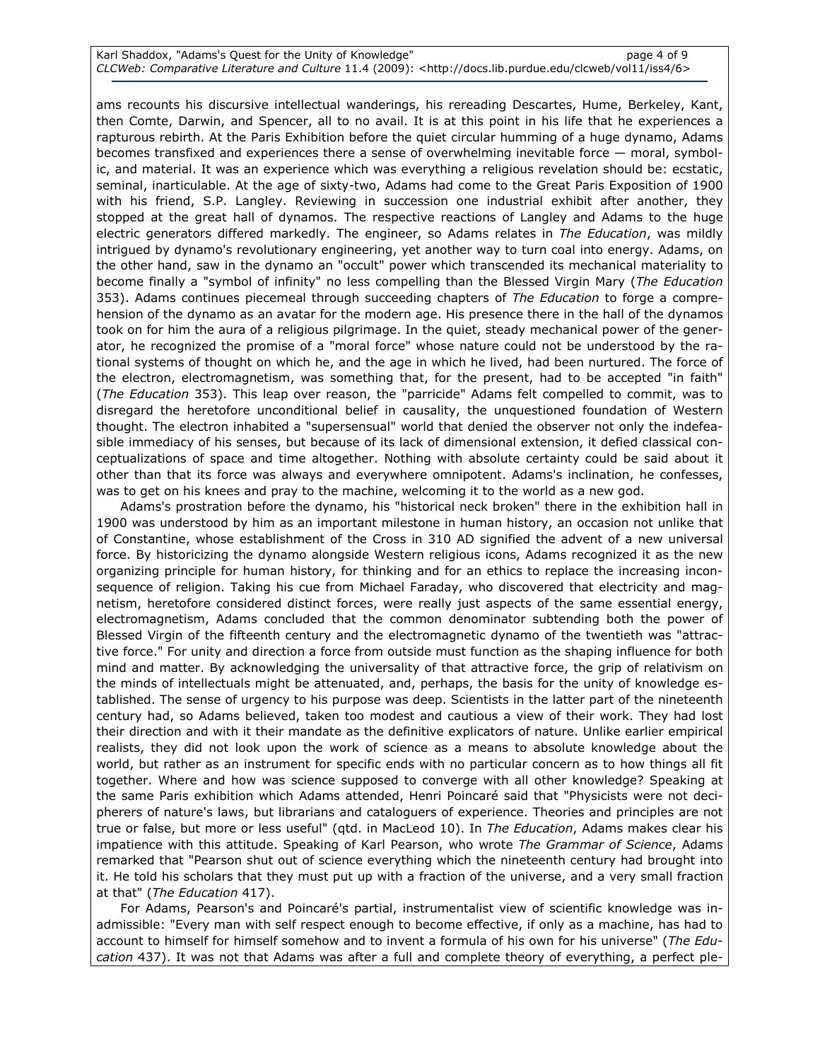ams recounts his discursive intellectual wanderings, his rereading Descartes, Hume, Berkeley, Kant, then Comte, Darwin, and Spencer, all to no avail. It is at this point in his life that he experiences a rapturous rebirth. At the Paris Exhibition before the quiet circular humming of a huge dynamo, Adams becomes transfixed and experiences there a sense of overwhelming inevitable force — moral, symbolic, and material. It was an experience which was everything a religious revelation should be: ecstatic, seminal, inarticulable. At the age of sixty-two, Adams had come to the Great Paris Exposition of 1900 with his friend, S.P. Langley. Reviewing in succession one industrial exhibit after another, they stopped at the great hall of dynamos. The respective reactions of Langley and Adams to the huge electric generators differed markedly. The engineer, so Adams relates in The Education, was mildly intrigued by dynamo's revolutionary engineering, yet another way to turn coal into energy. Adams, on the other hand, saw in the dynamo an "occult" power which transcended its mechanical materiality to become finally a "symbol of infinity" no less compelling than the Blessed Virgin Mary (The Education 353). Adams continues piecemeal through succeeding chapters of The Education to forge a comprehension of the dynamo as an avatar for the modern age. His presence there in the hall of the dynamos took on for him the aura of a religious pilgrimage. In the quiet, steady mechanical power of the generator, he recognized the promise of a "moral force" whose nature could not be understood by the rational systems of thought on which he, and the age in which he lived, had been nurtured. The force of the electron, electromagnetism, was something that, for the present, had to be accepted "in faith" (The Education 353). This leap over reason, the "parricide" Adams felt compelled to commit, was to disregard the heretofore unconditional belief in causality, the unquestioned foundation of Western thought. The electron inhabited a "supersensual" world that denied the observer not only the indefeasible immediacy of his senses, but because of its lack of dimensional extension, it defied classical conceptualizations of space and time altogether. Nothing with absolute certainty could be said about it other than that its force was always and everywhere omnipotent. Adams's inclination, he confesses, was to get on his knees and pray to the machine, welcoming it to the world as a new god.

Adams's prostration before the dynamo, his "historical neck broken" there in the exhibition hall in 1900 was understood by him as an important milestone in human history, an occasion not unlike that of Constantine, whose establishment of the Cross in 310 AD signified the advent of a new universal force. By historicizing the dynamo alongside Western religious icons, Adams recognized it as the new organizing principle for human history, for thinking and for an ethics to replace the increasing inconsequence of religion. Taking his cue from Michael Faraday, who discovered that electricity and magnetism, heretofore considered distinct forces, were really just aspects of the same essential energy, electromagnetism, Adams concluded that the common denominator subtending both the power of Blessed Virgin of the fifteenth century and the electromagnetic dynamo of the twentieth was "attractive force." For unity and direction a force from outside must function as the shaping influence for both mind and matter. By acknowledging the universality of that attractive force, the grip of relativism on the minds of intellectuals might be attenuated, and, perhaps, the basis for the unity of knowledge established. The sense of urgency to his purpose was deep. Scientists in the latter part of the nineteenth century had, so Adams believed, taken too modest and cautious a view of their work. They had lost their direction and with it their mandate as the definitive explicators of nature. Unlike earlier empirical realists, they did not look upon the work of science as a means to absolute knowledge about the world, but rather as an instrument for specific ends with no particular concern as to how things all fit together. Where and how was science supposed to converge with all other knowledge? Speaking at the same Paris exhibition which Adams attended, Henri Poincaré said that "Physicists were not decipherers of nature's laws, but librarians and cataloguers of experience. Theories and principles are not true or false, but more or less useful" (qtd. in MacLeod 10). In The Education, Adams makes clear his impatience with this attitude. Speaking of Karl Pearson, who wrote *The Grammar of Science*, Adams remarked that "Pearson shut out of science everything which the nineteenth century had brought into it. He told his scholars that they must put up with a fraction of the universe, and a very small fraction at that" (The Education 417).

For Adams, Pearson's and Poincaré's partial, instrumentalist view of scientific knowledge was inadmissible: "Every man with self respect enough to become effective, if only as a machine, has had to account to himself for himself somehow and to invent a formula of his own for his universe" (The Education 437). It was not that Adams was after a full and complete theory of everything, a perfect ple-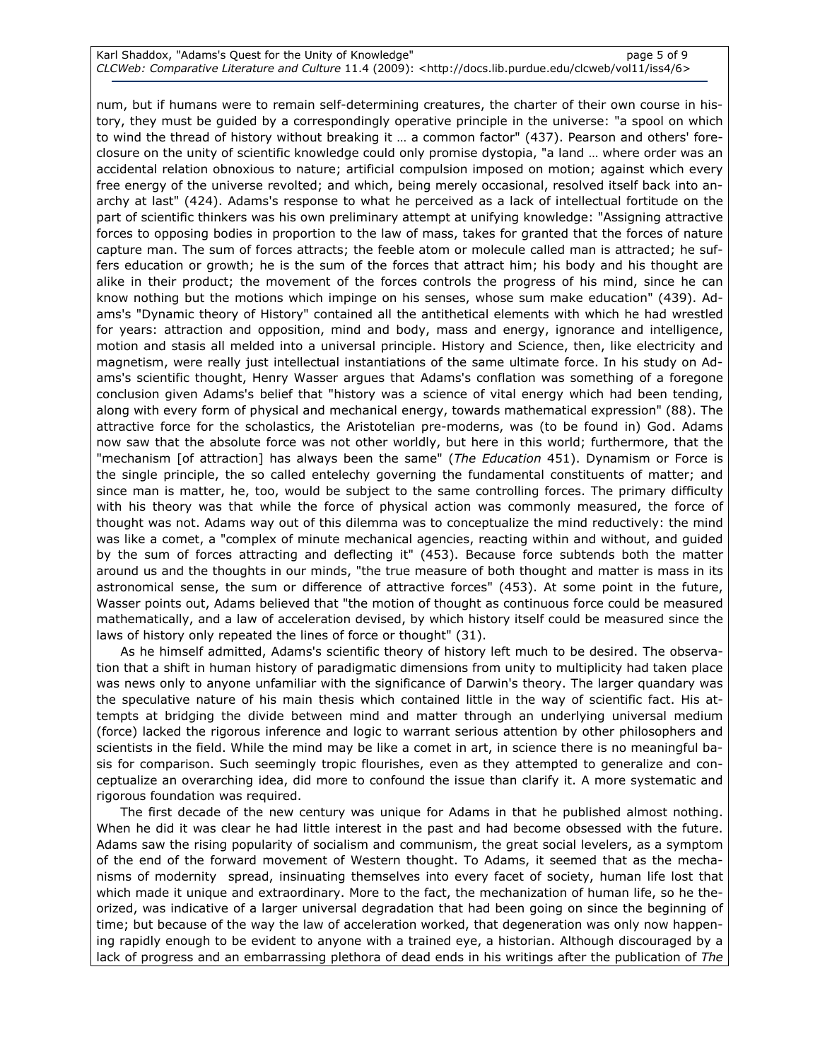num, but if humans were to remain self-determining creatures, the charter of their own course in history, they must be guided by a correspondingly operative principle in the universe: "a spool on which to wind the thread of history without breaking it … a common factor" (437). Pearson and others' foreclosure on the unity of scientific knowledge could only promise dystopia, "a land … where order was an accidental relation obnoxious to nature; artificial compulsion imposed on motion; against which every free energy of the universe revolted; and which, being merely occasional, resolved itself back into anarchy at last" (424). Adams's response to what he perceived as a lack of intellectual fortitude on the part of scientific thinkers was his own preliminary attempt at unifying knowledge: "Assigning attractive forces to opposing bodies in proportion to the law of mass, takes for granted that the forces of nature capture man. The sum of forces attracts; the feeble atom or molecule called man is attracted; he suffers education or growth; he is the sum of the forces that attract him; his body and his thought are alike in their product; the movement of the forces controls the progress of his mind, since he can know nothing but the motions which impinge on his senses, whose sum make education" (439). Adams's "Dynamic theory of History" contained all the antithetical elements with which he had wrestled for years: attraction and opposition, mind and body, mass and energy, ignorance and intelligence, motion and stasis all melded into a universal principle. History and Science, then, like electricity and magnetism, were really just intellectual instantiations of the same ultimate force. In his study on Adams's scientific thought, Henry Wasser argues that Adams's conflation was something of a foregone conclusion given Adams's belief that "history was a science of vital energy which had been tending, along with every form of physical and mechanical energy, towards mathematical expression" (88). The attractive force for the scholastics, the Aristotelian pre-moderns, was (to be found in) God. Adams now saw that the absolute force was not other worldly, but here in this world; furthermore, that the "mechanism [of attraction] has always been the same" (The Education 451). Dynamism or Force is the single principle, the so called entelechy governing the fundamental constituents of matter; and since man is matter, he, too, would be subject to the same controlling forces. The primary difficulty with his theory was that while the force of physical action was commonly measured, the force of thought was not. Adams way out of this dilemma was to conceptualize the mind reductively: the mind was like a comet, a "complex of minute mechanical agencies, reacting within and without, and guided by the sum of forces attracting and deflecting it" (453). Because force subtends both the matter around us and the thoughts in our minds, "the true measure of both thought and matter is mass in its astronomical sense, the sum or difference of attractive forces" (453). At some point in the future, Wasser points out, Adams believed that "the motion of thought as continuous force could be measured mathematically, and a law of acceleration devised, by which history itself could be measured since the laws of history only repeated the lines of force or thought" (31).

As he himself admitted, Adams's scientific theory of history left much to be desired. The observation that a shift in human history of paradigmatic dimensions from unity to multiplicity had taken place was news only to anyone unfamiliar with the significance of Darwin's theory. The larger quandary was the speculative nature of his main thesis which contained little in the way of scientific fact. His attempts at bridging the divide between mind and matter through an underlying universal medium (force) lacked the rigorous inference and logic to warrant serious attention by other philosophers and scientists in the field. While the mind may be like a comet in art, in science there is no meaningful basis for comparison. Such seemingly tropic flourishes, even as they attempted to generalize and conceptualize an overarching idea, did more to confound the issue than clarify it. A more systematic and rigorous foundation was required.

The first decade of the new century was unique for Adams in that he published almost nothing. When he did it was clear he had little interest in the past and had become obsessed with the future. Adams saw the rising popularity of socialism and communism, the great social levelers, as a symptom of the end of the forward movement of Western thought. To Adams, it seemed that as the mechanisms of modernity spread, insinuating themselves into every facet of society, human life lost that which made it unique and extraordinary. More to the fact, the mechanization of human life, so he theorized, was indicative of a larger universal degradation that had been going on since the beginning of time; but because of the way the law of acceleration worked, that degeneration was only now happening rapidly enough to be evident to anyone with a trained eye, a historian. Although discouraged by a lack of progress and an embarrassing plethora of dead ends in his writings after the publication of The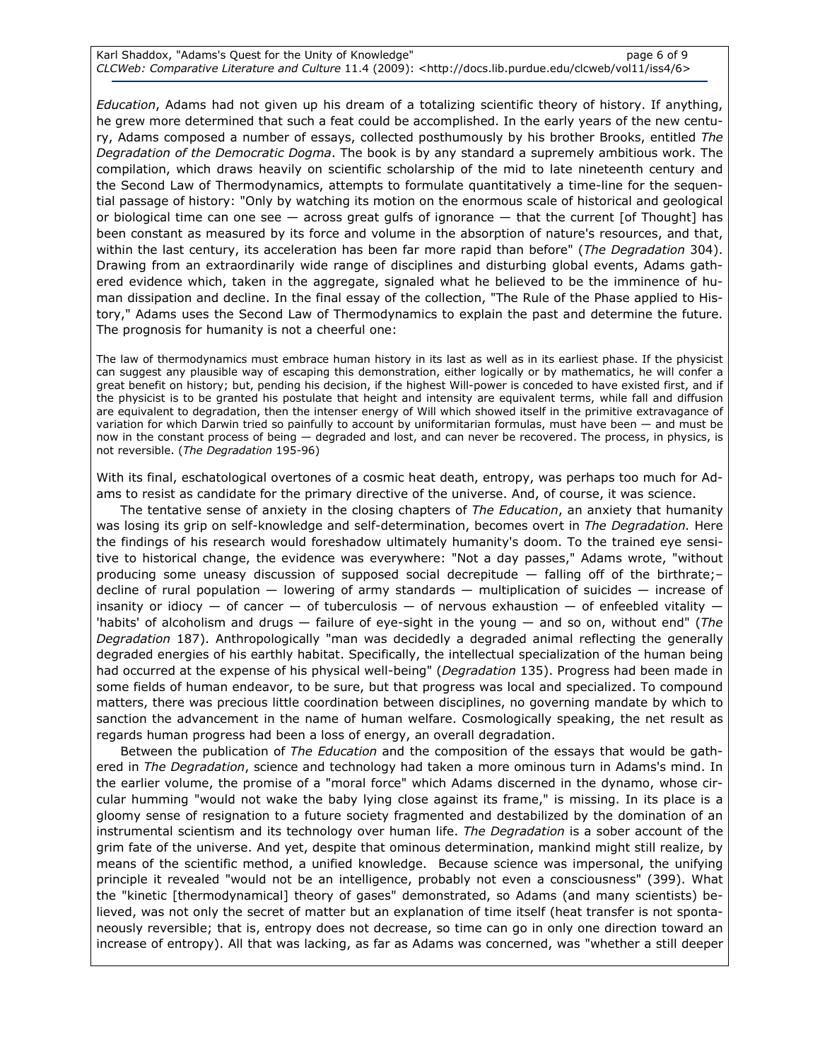Education, Adams had not given up his dream of a totalizing scientific theory of history. If anything, he grew more determined that such a feat could be accomplished. In the early years of the new century, Adams composed a number of essays, collected posthumously by his brother Brooks, entitled The Degradation of the Democratic Dogma. The book is by any standard a supremely ambitious work. The compilation, which draws heavily on scientific scholarship of the mid to late nineteenth century and the Second Law of Thermodynamics, attempts to formulate quantitatively a time-line for the sequential passage of history: "Only by watching its motion on the enormous scale of historical and geological or biological time can one see  $-$  across great gulfs of ignorance  $-$  that the current [of Thought] has been constant as measured by its force and volume in the absorption of nature's resources, and that, within the last century, its acceleration has been far more rapid than before" (The Degradation 304). Drawing from an extraordinarily wide range of disciplines and disturbing global events, Adams gathered evidence which, taken in the aggregate, signaled what he believed to be the imminence of human dissipation and decline. In the final essay of the collection, "The Rule of the Phase applied to History," Adams uses the Second Law of Thermodynamics to explain the past and determine the future. The prognosis for humanity is not a cheerful one:

The law of thermodynamics must embrace human history in its last as well as in its earliest phase. If the physicist can suggest any plausible way of escaping this demonstration, either logically or by mathematics, he will confer a great benefit on history; but, pending his decision, if the highest Will-power is conceded to have existed first, and if the physicist is to be granted his postulate that height and intensity are equivalent terms, while fall and diffusion are equivalent to degradation, then the intenser energy of Will which showed itself in the primitive extravagance of variation for which Darwin tried so painfully to account by uniformitarian formulas, must have been — and must be now in the constant process of being — degraded and lost, and can never be recovered. The process, in physics, is not reversible. (The Degradation 195-96)

With its final, eschatological overtones of a cosmic heat death, entropy, was perhaps too much for Adams to resist as candidate for the primary directive of the universe. And, of course, it was science.

The tentative sense of anxiety in the closing chapters of The Education, an anxiety that humanity was losing its grip on self-knowledge and self-determination, becomes overt in The Degradation. Here the findings of his research would foreshadow ultimately humanity's doom. To the trained eye sensitive to historical change, the evidence was everywhere: "Not a day passes," Adams wrote, "without producing some uneasy discussion of supposed social decrepitude — falling off of the birthrate;decline of rural population  $-$  lowering of army standards  $-$  multiplication of suicides  $-$  increase of insanity or idiocy — of cancer — of tuberculosis — of nervous exhaustion — of enfeebled vitality  $\cdot$ 'habits' of alcoholism and drugs  $-$  failure of eye-sight in the young  $-$  and so on, without end" (The Degradation 187). Anthropologically "man was decidedly a degraded animal reflecting the generally degraded energies of his earthly habitat. Specifically, the intellectual specialization of the human being had occurred at the expense of his physical well-being" (Degradation 135). Progress had been made in some fields of human endeavor, to be sure, but that progress was local and specialized. To compound matters, there was precious little coordination between disciplines, no governing mandate by which to sanction the advancement in the name of human welfare. Cosmologically speaking, the net result as regards human progress had been a loss of energy, an overall degradation.

Between the publication of The Education and the composition of the essays that would be gathered in The Degradation, science and technology had taken a more ominous turn in Adams's mind. In the earlier volume, the promise of a "moral force" which Adams discerned in the dynamo, whose circular humming "would not wake the baby lying close against its frame," is missing. In its place is a gloomy sense of resignation to a future society fragmented and destabilized by the domination of an instrumental scientism and its technology over human life. The Degradation is a sober account of the grim fate of the universe. And yet, despite that ominous determination, mankind might still realize, by means of the scientific method, a unified knowledge. Because science was impersonal, the unifying principle it revealed "would not be an intelligence, probably not even a consciousness" (399). What the "kinetic [thermodynamical] theory of gases" demonstrated, so Adams (and many scientists) believed, was not only the secret of matter but an explanation of time itself (heat transfer is not spontaneously reversible; that is, entropy does not decrease, so time can go in only one direction toward an increase of entropy). All that was lacking, as far as Adams was concerned, was "whether a still deeper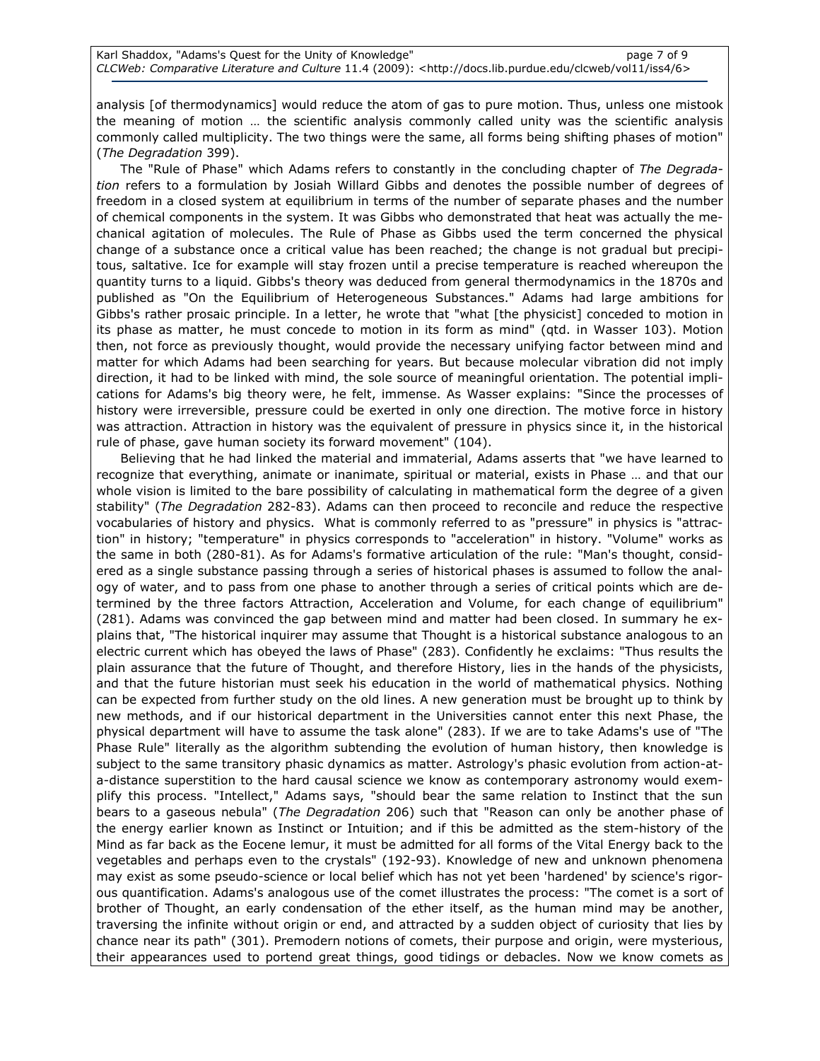analysis [of thermodynamics] would reduce the atom of gas to pure motion. Thus, unless one mistook the meaning of motion … the scientific analysis commonly called unity was the scientific analysis commonly called multiplicity. The two things were the same, all forms being shifting phases of motion" (The Degradation 399).

The "Rule of Phase" which Adams refers to constantly in the concluding chapter of The Degradation refers to a formulation by Josiah Willard Gibbs and denotes the possible number of degrees of freedom in a closed system at equilibrium in terms of the number of separate phases and the number of chemical components in the system. It was Gibbs who demonstrated that heat was actually the mechanical agitation of molecules. The Rule of Phase as Gibbs used the term concerned the physical change of a substance once a critical value has been reached; the change is not gradual but precipitous, saltative. Ice for example will stay frozen until a precise temperature is reached whereupon the quantity turns to a liquid. Gibbs's theory was deduced from general thermodynamics in the 1870s and published as "On the Equilibrium of Heterogeneous Substances." Adams had large ambitions for Gibbs's rather prosaic principle. In a letter, he wrote that "what [the physicist] conceded to motion in its phase as matter, he must concede to motion in its form as mind" (qtd. in Wasser 103). Motion then, not force as previously thought, would provide the necessary unifying factor between mind and matter for which Adams had been searching for years. But because molecular vibration did not imply direction, it had to be linked with mind, the sole source of meaningful orientation. The potential implications for Adams's big theory were, he felt, immense. As Wasser explains: "Since the processes of history were irreversible, pressure could be exerted in only one direction. The motive force in history was attraction. Attraction in history was the equivalent of pressure in physics since it, in the historical rule of phase, gave human society its forward movement" (104).

Believing that he had linked the material and immaterial, Adams asserts that "we have learned to recognize that everything, animate or inanimate, spiritual or material, exists in Phase … and that our whole vision is limited to the bare possibility of calculating in mathematical form the degree of a given stability" (The Degradation 282-83). Adams can then proceed to reconcile and reduce the respective vocabularies of history and physics. What is commonly referred to as "pressure" in physics is "attraction" in history; "temperature" in physics corresponds to "acceleration" in history. "Volume" works as the same in both (280-81). As for Adams's formative articulation of the rule: "Man's thought, considered as a single substance passing through a series of historical phases is assumed to follow the analogy of water, and to pass from one phase to another through a series of critical points which are determined by the three factors Attraction, Acceleration and Volume, for each change of equilibrium" (281). Adams was convinced the gap between mind and matter had been closed. In summary he explains that, "The historical inquirer may assume that Thought is a historical substance analogous to an electric current which has obeyed the laws of Phase" (283). Confidently he exclaims: "Thus results the plain assurance that the future of Thought, and therefore History, lies in the hands of the physicists, and that the future historian must seek his education in the world of mathematical physics. Nothing can be expected from further study on the old lines. A new generation must be brought up to think by new methods, and if our historical department in the Universities cannot enter this next Phase, the physical department will have to assume the task alone" (283). If we are to take Adams's use of "The Phase Rule" literally as the algorithm subtending the evolution of human history, then knowledge is subject to the same transitory phasic dynamics as matter. Astrology's phasic evolution from action-ata-distance superstition to the hard causal science we know as contemporary astronomy would exemplify this process. "Intellect," Adams says, "should bear the same relation to Instinct that the sun bears to a gaseous nebula" (The Degradation 206) such that "Reason can only be another phase of the energy earlier known as Instinct or Intuition; and if this be admitted as the stem-history of the Mind as far back as the Eocene lemur, it must be admitted for all forms of the Vital Energy back to the vegetables and perhaps even to the crystals" (192-93). Knowledge of new and unknown phenomena may exist as some pseudo-science or local belief which has not yet been 'hardened' by science's rigorous quantification. Adams's analogous use of the comet illustrates the process: "The comet is a sort of brother of Thought, an early condensation of the ether itself, as the human mind may be another, traversing the infinite without origin or end, and attracted by a sudden object of curiosity that lies by chance near its path" (301). Premodern notions of comets, their purpose and origin, were mysterious, their appearances used to portend great things, good tidings or debacles. Now we know comets as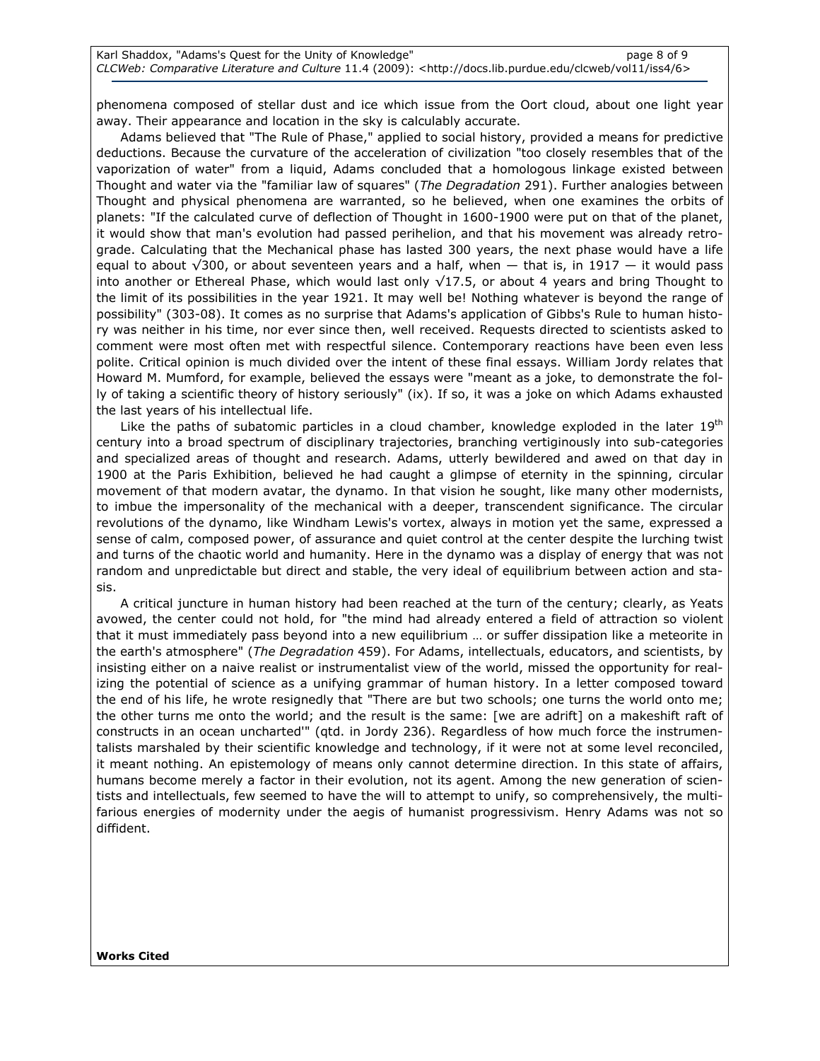phenomena composed of stellar dust and ice which issue from the Oort cloud, about one light year away. Their appearance and location in the sky is calculably accurate.

Adams believed that "The Rule of Phase," applied to social history, provided a means for predictive deductions. Because the curvature of the acceleration of civilization "too closely resembles that of the vaporization of water" from a liquid, Adams concluded that a homologous linkage existed between Thought and water via the "familiar law of squares" (The Degradation 291). Further analogies between Thought and physical phenomena are warranted, so he believed, when one examines the orbits of planets: "If the calculated curve of deflection of Thought in 1600-1900 were put on that of the planet, it would show that man's evolution had passed perihelion, and that his movement was already retrograde. Calculating that the Mechanical phase has lasted 300 years, the next phase would have a life equal to about  $\sqrt{300}$ , or about seventeen years and a half, when  $-$  that is, in 1917  $-$  it would pass into another or Ethereal Phase, which would last only  $\sqrt{17.5}$ , or about 4 years and bring Thought to the limit of its possibilities in the year 1921. It may well be! Nothing whatever is beyond the range of possibility" (303-08). It comes as no surprise that Adams's application of Gibbs's Rule to human history was neither in his time, nor ever since then, well received. Requests directed to scientists asked to comment were most often met with respectful silence. Contemporary reactions have been even less polite. Critical opinion is much divided over the intent of these final essays. William Jordy relates that Howard M. Mumford, for example, believed the essays were "meant as a joke, to demonstrate the folly of taking a scientific theory of history seriously" (ix). If so, it was a joke on which Adams exhausted the last years of his intellectual life.

Like the paths of subatomic particles in a cloud chamber, knowledge exploded in the later  $19<sup>th</sup>$ century into a broad spectrum of disciplinary trajectories, branching vertiginously into sub-categories and specialized areas of thought and research. Adams, utterly bewildered and awed on that day in 1900 at the Paris Exhibition, believed he had caught a glimpse of eternity in the spinning, circular movement of that modern avatar, the dynamo. In that vision he sought, like many other modernists, to imbue the impersonality of the mechanical with a deeper, transcendent significance. The circular revolutions of the dynamo, like Windham Lewis's vortex, always in motion yet the same, expressed a sense of calm, composed power, of assurance and quiet control at the center despite the lurching twist and turns of the chaotic world and humanity. Here in the dynamo was a display of energy that was not random and unpredictable but direct and stable, the very ideal of equilibrium between action and stasis.

A critical juncture in human history had been reached at the turn of the century; clearly, as Yeats avowed, the center could not hold, for "the mind had already entered a field of attraction so violent that it must immediately pass beyond into a new equilibrium … or suffer dissipation like a meteorite in the earth's atmosphere" (The Degradation 459). For Adams, intellectuals, educators, and scientists, by insisting either on a naive realist or instrumentalist view of the world, missed the opportunity for realizing the potential of science as a unifying grammar of human history. In a letter composed toward the end of his life, he wrote resignedly that "There are but two schools; one turns the world onto me; the other turns me onto the world; and the result is the same: [we are adrift] on a makeshift raft of constructs in an ocean uncharted'" (qtd. in Jordy 236). Regardless of how much force the instrumentalists marshaled by their scientific knowledge and technology, if it were not at some level reconciled, it meant nothing. An epistemology of means only cannot determine direction. In this state of affairs, humans become merely a factor in their evolution, not its agent. Among the new generation of scientists and intellectuals, few seemed to have the will to attempt to unify, so comprehensively, the multifarious energies of modernity under the aegis of humanist progressivism. Henry Adams was not so diffident.

Works Cited